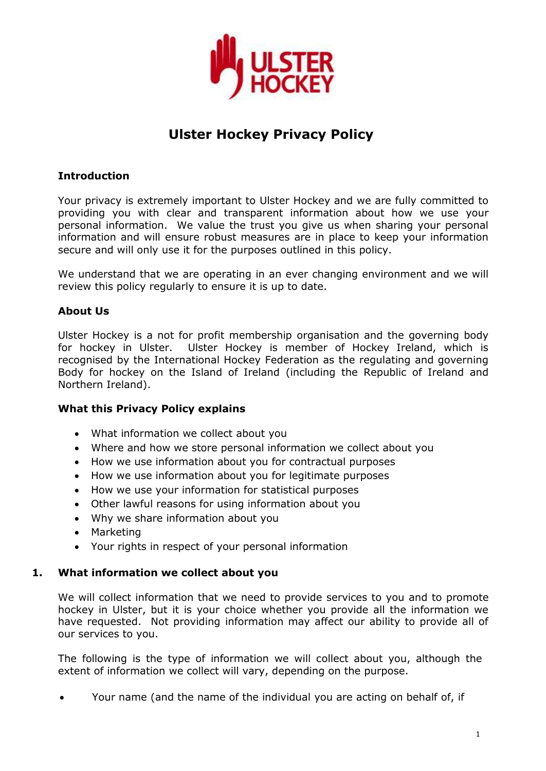

# **Ulster Hockey Privacy Policy**

# **Introduction**

Your privacy is extremely important to Ulster Hockey and we are fully committed to providing you with clear and transparent information about how we use your personal information. We value the trust you give us when sharing your personal information and will ensure robust measures are in place to keep your information secure and will only use it for the purposes outlined in this policy.

We understand that we are operating in an ever changing environment and we will review this policy regularly to ensure it is up to date.

# **About Us**

Ulster Hockey is a not for profit membership organisation and the governing body for hockey in Ulster. Ulster Hockey is member of Hockey Ireland, which is recognised by the International Hockey Federation as the regulating and governing Body for hockey on the Island of Ireland (including the Republic of Ireland and Northern Ireland).

# **What this Privacy Policy explains**

- What information we collect about you
- Where and how we store personal information we collect about you
- How we use information about you for contractual purposes
- How we use information about you for legitimate purposes
- How we use your information for statistical purposes
- Other lawful reasons for using information about you
- Why we share information about you
- Marketing
- Your rights in respect of your personal information

# **1. What information we collect about you**

We will collect information that we need to provide services to you and to promote hockey in Ulster, but it is your choice whether you provide all the information we have requested. Not providing information may affect our ability to provide all of our services to you.

The following is the type of information we will collect about you, although the extent of information we collect will vary, depending on the purpose.

Your name (and the name of the individual you are acting on behalf of, if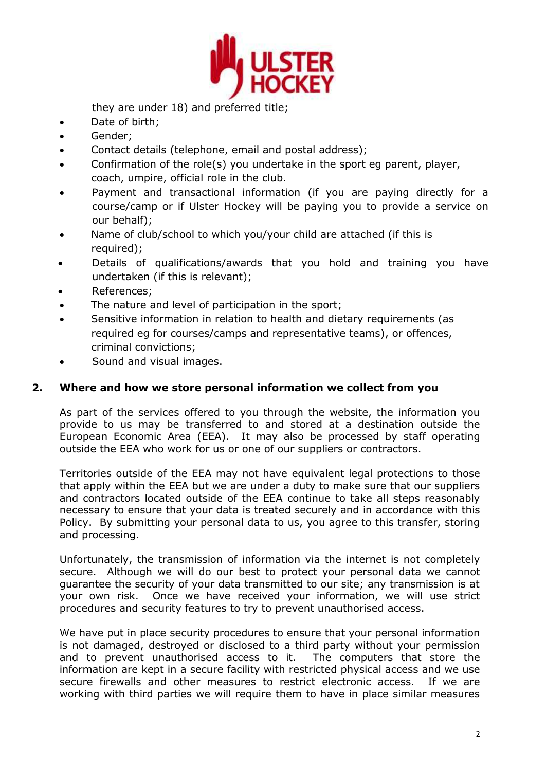

they are under 18) and preferred title;

- Date of birth;
- Gender;
- Contact details (telephone, email and postal address);
- Confirmation of the role(s) you undertake in the sport eg parent, player, coach, umpire, official role in the club.
- Payment and transactional information (if you are paying directly for a course/camp or if Ulster Hockey will be paying you to provide a service on our behalf);
- Name of club/school to which you/your child are attached (if this is required);
- Details of qualifications/awards that you hold and training you have undertaken (if this is relevant);
- References;
- The nature and level of participation in the sport;
- Sensitive information in relation to health and dietary requirements (as required eg for courses/camps and representative teams), or offences, criminal convictions;
- Sound and visual images.

# **2. Where and how we store personal information we collect from you**

As part of the services offered to you through the website, the information you provide to us may be transferred to and stored at a destination outside the European Economic Area (EEA). It may also be processed by staff operating outside the EEA who work for us or one of our suppliers or contractors.

Territories outside of the EEA may not have equivalent legal protections to those that apply within the EEA but we are under a duty to make sure that our suppliers and contractors located outside of the EEA continue to take all steps reasonably necessary to ensure that your data is treated securely and in accordance with this Policy. By submitting your personal data to us, you agree to this transfer, storing and processing.

Unfortunately, the transmission of information via the internet is not completely secure. Although we will do our best to protect your personal data we cannot guarantee the security of your data transmitted to our site; any transmission is at your own risk. Once we have received your information, we will use strict procedures and security features to try to prevent unauthorised access.

We have put in place security procedures to ensure that your personal information is not damaged, destroyed or disclosed to a third party without your permission and to prevent unauthorised access to it. The computers that store the information are kept in a secure facility with restricted physical access and we use secure firewalls and other measures to restrict electronic access. If we are working with third parties we will require them to have in place similar measures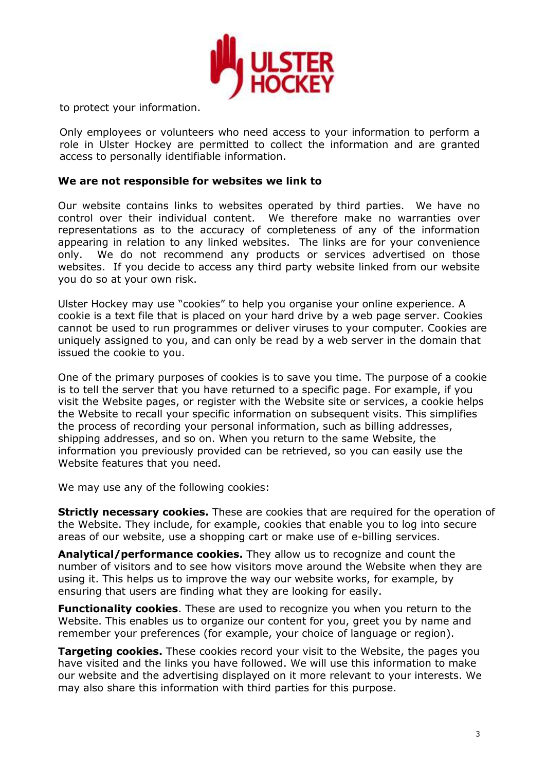

to protect your information.

Only employees or volunteers who need access to your information to perform a role in Ulster Hockey are permitted to collect the information and are granted access to personally identifiable information.

### **We are not responsible for websites we link to**

Our website contains links to websites operated by third parties. We have no control over their individual content. We therefore make no warranties over representations as to the accuracy of completeness of any of the information appearing in relation to any linked websites. The links are for your convenience only. We do not recommend any products or services advertised on those websites. If you decide to access any third party website linked from our website you do so at your own risk.

Ulster Hockey may use "cookies" to help you organise your online experience. A cookie is a text file that is placed on your hard drive by a web page server. Cookies cannot be used to run programmes or deliver viruses to your computer. Cookies are uniquely assigned to you, and can only be read by a web server in the domain that issued the cookie to you.

One of the primary purposes of cookies is to save you time. The purpose of a cookie is to tell the server that you have returned to a specific page. For example, if you visit the Website pages, or register with the Website site or services, a cookie helps the Website to recall your specific information on subsequent visits. This simplifies the process of recording your personal information, such as billing addresses, shipping addresses, and so on. When you return to the same Website, the information you previously provided can be retrieved, so you can easily use the Website features that you need.

We may use any of the following cookies:

**Strictly necessary cookies.** These are cookies that are required for the operation of the Website. They include, for example, cookies that enable you to log into secure areas of our website, use a shopping cart or make use of e-billing services.

**Analytical/performance cookies.** They allow us to recognize and count the number of visitors and to see how visitors move around the Website when they are using it. This helps us to improve the way our website works, for example, by ensuring that users are finding what they are looking for easily.

**Functionality cookies**. These are used to recognize you when you return to the Website. This enables us to organize our content for you, greet you by name and remember your preferences (for example, your choice of language or region).

**Targeting cookies.** These cookies record your visit to the Website, the pages you have visited and the links you have followed. We will use this information to make our website and the advertising displayed on it more relevant to your interests. We may also share this information with third parties for this purpose.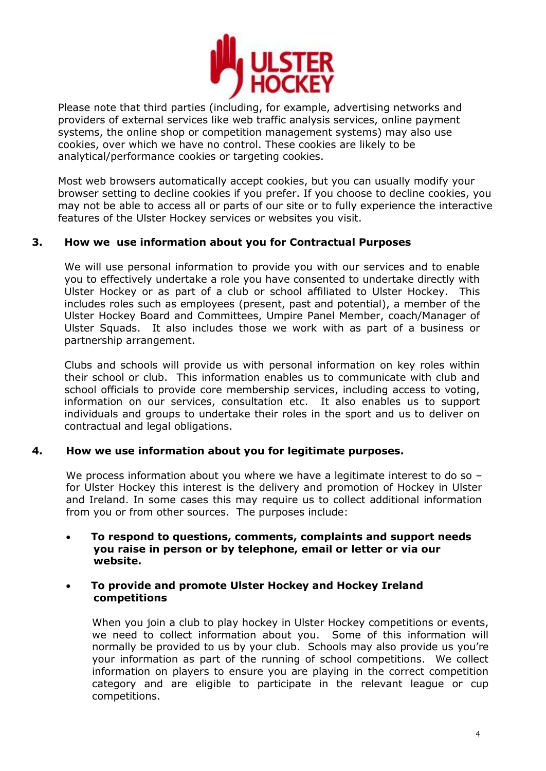

Please note that third parties (including, for example, advertising networks and providers of external services like web traffic analysis services, online payment systems, the online shop or competition management systems) may also use cookies, over which we have no control. These cookies are likely to be analytical/performance cookies or targeting cookies.

Most web browsers automatically accept cookies, but you can usually modify your browser setting to decline cookies if you prefer. If you choose to decline cookies, you may not be able to access all or parts of our site or to fully experience the interactive features of the Ulster Hockey services or websites you visit.

# **3. How we use information about you for Contractual Purposes**

We will use personal information to provide you with our services and to enable you to effectively undertake a role you have consented to undertake directly with Ulster Hockey or as part of a club or school affiliated to Ulster Hockey. This includes roles such as employees (present, past and potential), a member of the Ulster Hockey Board and Committees, Umpire Panel Member, coach/Manager of Ulster Squads. It also includes those we work with as part of a business or partnership arrangement.

Clubs and schools will provide us with personal information on key roles within their school or club. This information enables us to communicate with club and school officials to provide core membership services, including access to voting, information on our services, consultation etc. It also enables us to support individuals and groups to undertake their roles in the sport and us to deliver on contractual and legal obligations.

### **4. How we use information about you for legitimate purposes.**

We process information about you where we have a legitimate interest to do so – for Ulster Hockey this interest is the delivery and promotion of Hockey in Ulster and Ireland. In some cases this may require us to collect additional information from you or from other sources. The purposes include:

 **To respond to questions, comments, complaints and support needs you raise in person or by telephone, email or letter or via our website.**

### **To provide and promote Ulster Hockey and Hockey Ireland competitions**

When you join a club to play hockey in Ulster Hockey competitions or events, we need to collect information about you. Some of this information will normally be provided to us by your club. Schools may also provide us you're your information as part of the running of school competitions. We collect information on players to ensure you are playing in the correct competition category and are eligible to participate in the relevant league or cup competitions.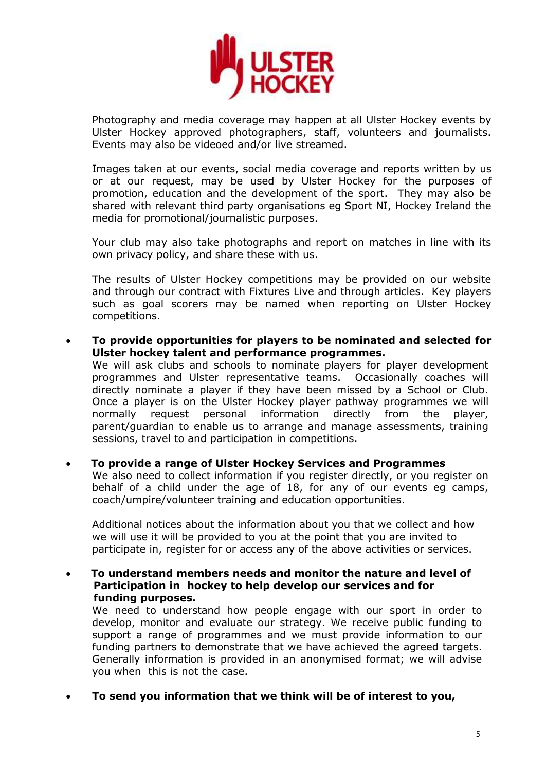

Photography and media coverage may happen at all Ulster Hockey events by Ulster Hockey approved photographers, staff, volunteers and journalists. Events may also be videoed and/or live streamed.

Images taken at our events, social media coverage and reports written by us or at our request, may be used by Ulster Hockey for the purposes of promotion, education and the development of the sport. They may also be shared with relevant third party organisations eg Sport NI, Hockey Ireland the media for promotional/journalistic purposes.

Your club may also take photographs and report on matches in line with its own privacy policy, and share these with us.

The results of Ulster Hockey competitions may be provided on our website and through our contract with Fixtures Live and through articles. Key players such as goal scorers may be named when reporting on Ulster Hockey competitions.

 **To provide opportunities for players to be nominated and selected for Ulster hockey talent and performance programmes.** 

We will ask clubs and schools to nominate players for player development programmes and Ulster representative teams. Occasionally coaches will directly nominate a player if they have been missed by a School or Club. Once a player is on the Ulster Hockey player pathway programmes we will normally request personal information directly from the player, parent/guardian to enable us to arrange and manage assessments, training sessions, travel to and participation in competitions.

 **To provide a range of Ulster Hockey Services and Programmes** We also need to collect information if you register directly, or you register on behalf of a child under the age of 18, for any of our events eg camps, coach/umpire/volunteer training and education opportunities.

Additional notices about the information about you that we collect and how we will use it will be provided to you at the point that you are invited to participate in, register for or access any of the above activities or services.

 **To understand members needs and monitor the nature and level of Participation in hockey to help develop our services and for funding purposes.** 

We need to understand how people engage with our sport in order to develop, monitor and evaluate our strategy. We receive public funding to support a range of programmes and we must provide information to our funding partners to demonstrate that we have achieved the agreed targets. Generally information is provided in an anonymised format; we will advise you when this is not the case.

**To send you information that we think will be of interest to you,**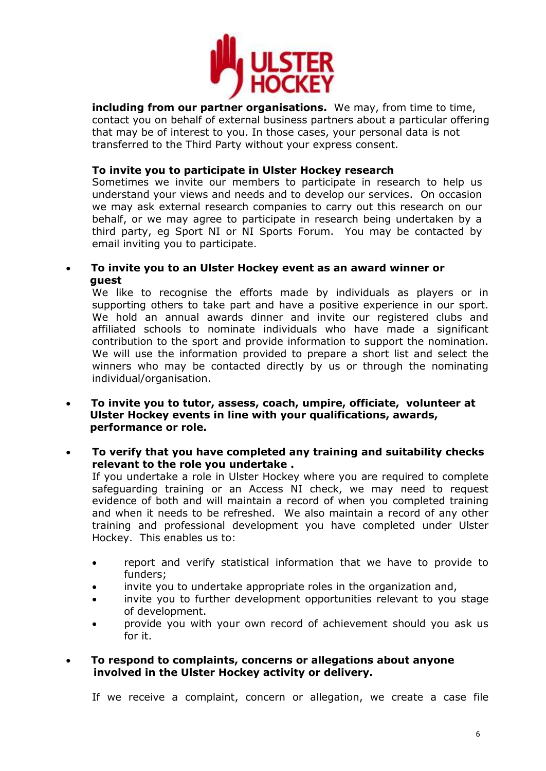

**including from our partner organisations.** We may, from time to time, contact you on behalf of external business partners about a particular offering that may be of interest to you. In those cases, your personal data is not transferred to the Third Party without your express consent.

### **To invite you to participate in Ulster Hockey research**

Sometimes we invite our members to participate in research to help us understand your views and needs and to develop our services. On occasion we may ask external research companies to carry out this research on our behalf, or we may agree to participate in research being undertaken by a third party, eg Sport NI or NI Sports Forum. You may be contacted by email inviting you to participate.

### **To invite you to an Ulster Hockey event as an award winner or guest**

We like to recognise the efforts made by individuals as players or in supporting others to take part and have a positive experience in our sport. We hold an annual awards dinner and invite our registered clubs and affiliated schools to nominate individuals who have made a significant contribution to the sport and provide information to support the nomination. We will use the information provided to prepare a short list and select the winners who may be contacted directly by us or through the nominating individual/organisation.

- **To invite you to tutor, assess, coach, umpire, officiate, volunteer at Ulster Hockey events in line with your qualifications, awards, performance or role.**
- **To verify that you have completed any training and suitability checks relevant to the role you undertake .**

If you undertake a role in Ulster Hockey where you are required to complete safeguarding training or an Access NI check, we may need to request evidence of both and will maintain a record of when you completed training and when it needs to be refreshed. We also maintain a record of any other training and professional development you have completed under Ulster Hockey. This enables us to:

- report and verify statistical information that we have to provide to funders;
- invite you to undertake appropriate roles in the organization and,
- invite you to further development opportunities relevant to you stage of development.
- provide you with your own record of achievement should you ask us for it.

### **To respond to complaints, concerns or allegations about anyone involved in the Ulster Hockey activity or delivery.**

If we receive a complaint, concern or allegation, we create a case file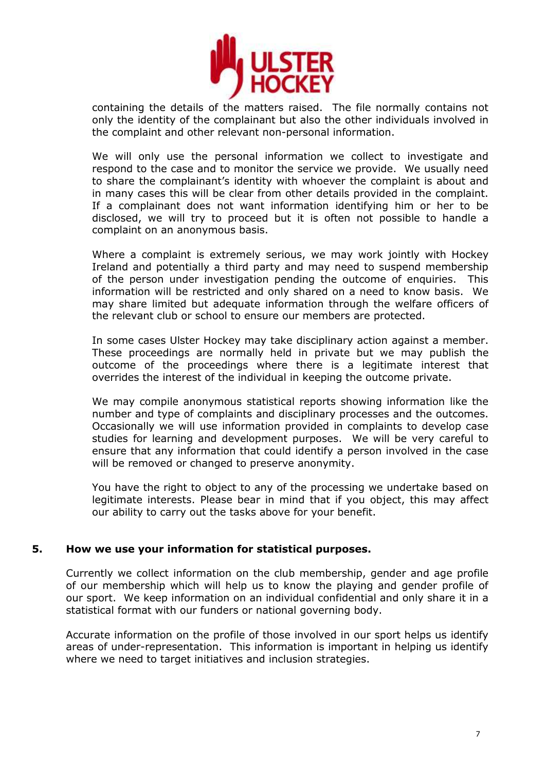

containing the details of the matters raised. The file normally contains not only the identity of the complainant but also the other individuals involved in the complaint and other relevant non-personal information.

We will only use the personal information we collect to investigate and respond to the case and to monitor the service we provide. We usually need to share the complainant's identity with whoever the complaint is about and in many cases this will be clear from other details provided in the complaint. If a complainant does not want information identifying him or her to be disclosed, we will try to proceed but it is often not possible to handle a complaint on an anonymous basis.

Where a complaint is extremely serious, we may work jointly with Hockey Ireland and potentially a third party and may need to suspend membership of the person under investigation pending the outcome of enquiries. This information will be restricted and only shared on a need to know basis. We may share limited but adequate information through the welfare officers of the relevant club or school to ensure our members are protected.

In some cases Ulster Hockey may take disciplinary action against a member. These proceedings are normally held in private but we may publish the outcome of the proceedings where there is a legitimate interest that overrides the interest of the individual in keeping the outcome private.

We may compile anonymous statistical reports showing information like the number and type of complaints and disciplinary processes and the outcomes. Occasionally we will use information provided in complaints to develop case studies for learning and development purposes. We will be very careful to ensure that any information that could identify a person involved in the case will be removed or changed to preserve anonymity.

You have the right to object to any of the processing we undertake based on legitimate interests. Please bear in mind that if you object, this may affect our ability to carry out the tasks above for your benefit.

# **5. How we use your information for statistical purposes.**

Currently we collect information on the club membership, gender and age profile of our membership which will help us to know the playing and gender profile of our sport. We keep information on an individual confidential and only share it in a statistical format with our funders or national governing body.

Accurate information on the profile of those involved in our sport helps us identify areas of under-representation. This information is important in helping us identify where we need to target initiatives and inclusion strategies.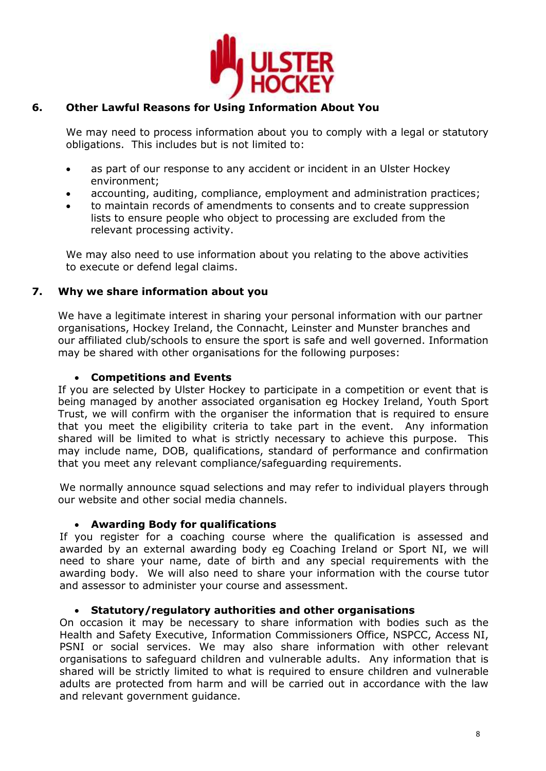

#### **6. Other Lawful Reasons for Using Information About You**

We may need to process information about you to comply with a legal or statutory obligations. This includes but is not limited to:

- as part of our response to any accident or incident in an Ulster Hockey environment;
- accounting, auditing, compliance, employment and administration practices;
- to maintain records of amendments to consents and to create suppression lists to ensure people who object to processing are excluded from the relevant processing activity.

We may also need to use information about you relating to the above activities to execute or defend legal claims.

#### **7. Why we share information about you**

We have a legitimate interest in sharing your personal information with our partner organisations, Hockey Ireland, the Connacht, Leinster and Munster branches and our affiliated club/schools to ensure the sport is safe and well governed. Information may be shared with other organisations for the following purposes:

### **Competitions and Events**

If you are selected by Ulster Hockey to participate in a competition or event that is being managed by another associated organisation eg Hockey Ireland, Youth Sport Trust, we will confirm with the organiser the information that is required to ensure that you meet the eligibility criteria to take part in the event. Any information shared will be limited to what is strictly necessary to achieve this purpose. This may include name, DOB, qualifications, standard of performance and confirmation that you meet any relevant compliance/safeguarding requirements.

We normally announce squad selections and may refer to individual players through our website and other social media channels.

# **Awarding Body for qualifications**

If you register for a coaching course where the qualification is assessed and awarded by an external awarding body eg Coaching Ireland or Sport NI, we will need to share your name, date of birth and any special requirements with the awarding body. We will also need to share your information with the course tutor and assessor to administer your course and assessment.

### **Statutory/regulatory authorities and other organisations**

On occasion it may be necessary to share information with bodies such as the Health and Safety Executive, Information Commissioners Office, NSPCC, Access NI, PSNI or social services. We may also share information with other relevant organisations to safeguard children and vulnerable adults. Any information that is shared will be strictly limited to what is required to ensure children and vulnerable adults are protected from harm and will be carried out in accordance with the law and relevant government guidance.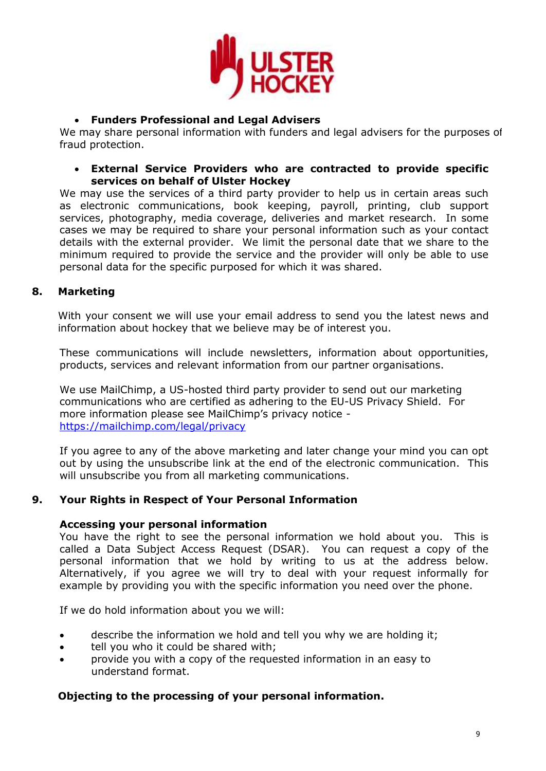

# **Funders Professional and Legal Advisers**

We may share personal information with funders and legal advisers for the purposes of fraud protection.

# **External Service Providers who are contracted to provide specific services on behalf of Ulster Hockey**

We may use the services of a third party provider to help us in certain areas such as electronic communications, book keeping, payroll, printing, club support services, photography, media coverage, deliveries and market research. In some cases we may be required to share your personal information such as your contact details with the external provider. We limit the personal date that we share to the minimum required to provide the service and the provider will only be able to use personal data for the specific purposed for which it was shared.

#### **8. Marketing**

With your consent we will use your email address to send you the latest news and information about hockey that we believe may be of interest you.

These communications will include newsletters, information about opportunities, products, services and relevant information from our partner organisations.

We use MailChimp, a US-hosted third party provider to send out our marketing communications who are certified as adhering to the EU-US Privacy Shield. For more information please see MailChimp's privacy notice <https://mailchimp.com/legal/privacy>

If you agree to any of the above marketing and later change your mind you can opt out by using the unsubscribe link at the end of the electronic communication. This will unsubscribe you from all marketing communications.

#### **9. Your Rights in Respect of Your Personal Information**

# **Accessing your personal information**

You have the right to see the personal information we hold about you. This is called a Data Subject Access Request (DSAR). You can request a copy of the personal information that we hold by writing to us at the address below. Alternatively, if you agree we will try to deal with your request informally for example by providing you with the specific information you need over the phone.

If we do hold information about you we will:

- describe the information we hold and tell you why we are holding it;
- tell you who it could be shared with;
- provide you with a copy of the requested information in an easy to understand format.

# **Objecting to the processing of your personal information.**